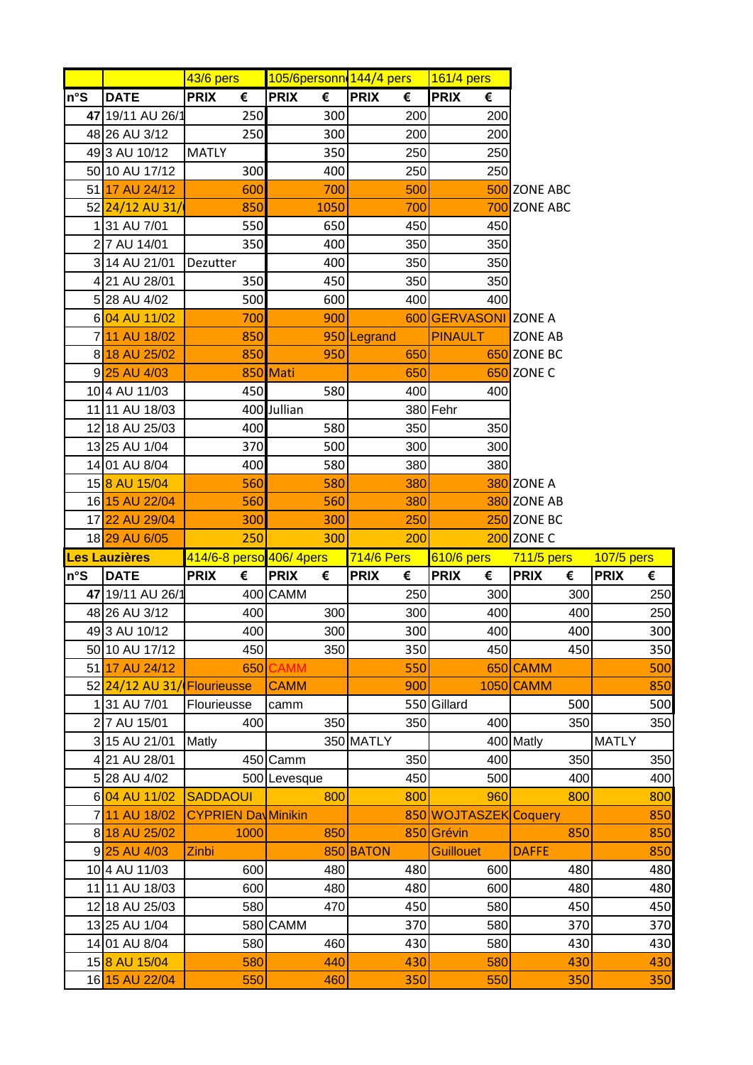|     |                         | 43/6 pers                  | 105/6personn 144/4 pers |                  | 161/4 pers            |                   |                  |
|-----|-------------------------|----------------------------|-------------------------|------------------|-----------------------|-------------------|------------------|
| n°S | <b>DATE</b>             | €<br><b>PRIX</b>           | €<br><b>PRIX</b>        | <b>PRIX</b><br>€ | <b>PRIX</b><br>€      |                   |                  |
|     | 47 19/11 AU 26/1        | 250                        | 300                     | 200              | 200                   |                   |                  |
|     | 48 26 AU 3/12           | 250                        | 300                     | 200              | 200                   |                   |                  |
|     | 493 AU 10/12            | <b>MATLY</b>               | 350                     | 250              | 250                   |                   |                  |
|     | 50 10 AU 17/12          | 300                        | 400                     | 250              | 250                   |                   |                  |
|     | 51 17 AU 24/12          | 600                        | 700                     | 500              |                       | 500 ZONE ABC      |                  |
|     | 52 24/12 AU 31/         | 850                        | 1050                    | 700              |                       | 700 ZONE ABC      |                  |
|     | 131 AU 7/01             | 550                        | 650                     | 450              | 450                   |                   |                  |
|     | 2 7 AU 14/01            | 350                        | 400                     | 350              | 350                   |                   |                  |
|     | 3 14 AU 21/01           | Dezutter                   | 400                     | 350              | 350                   |                   |                  |
|     | 421 AU 28/01            | 350                        | 450                     | 350              | 350                   |                   |                  |
|     | 5 28 AU 4/02            | 500                        | 600                     | 400              | 400                   |                   |                  |
|     | 6 04 AU 11/02           | 700                        | 900                     |                  | 600 GERVASONI ZONE A  |                   |                  |
|     | 711 AU 18/02            | 850                        |                         | 950 Legrand      | <b>PINAULT</b>        | <b>ZONE AB</b>    |                  |
|     | 8 18 AU 25/02           | 850                        | 950                     | 650              |                       | 650 ZONE BC       |                  |
|     | 9 25 AU 4/03            |                            | 850 Mati                | 650              |                       | 650 ZONE C        |                  |
|     | 10 4 AU 11/03           | 450                        | 580                     | 400              | 400                   |                   |                  |
|     | 11 11 AU 18/03          |                            | 400 Jullian             |                  | 380 Fehr              |                   |                  |
|     | 12 18 AU 25/03          | 400                        | 580                     | 350              | 350                   |                   |                  |
|     | 13 25 AU 1/04           | 370                        | 500                     | 300              | 300                   |                   |                  |
|     | 14 01 AU 8/04           | 400                        | 580                     | 380              | 380                   |                   |                  |
|     | 158 AU 15/04            | 560                        | 580                     | 380              |                       | <b>380 ZONE A</b> |                  |
|     | 16 15 AU 22/04          | 560                        | 560                     | 380              |                       | 380 ZONE AB       |                  |
|     | 17 22 AU 29/04          | 300                        | 300                     | 250              |                       | 250 ZONE BC       |                  |
|     |                         |                            |                         |                  |                       |                   |                  |
|     | 18 29 AU 6/05           | 250                        | 300                     | 200              |                       | 200 ZONE C        |                  |
|     | Les Lauzières           | 414/6-8 perso 406/ 4pers   |                         | 714/6 Pers       | 610/6 pers            | 711/5 pers        | 107/5 pers       |
| n°S | <b>DATE</b>             | <b>PRIX</b><br>€           | <b>PRIX</b><br>€        | <b>PRIX</b><br>€ | <b>PRIX</b><br>€      | <b>PRIX</b><br>€  | <b>PRIX</b><br>€ |
|     | 47 19/11 AU 26/1        |                            | 400 CAMM                | 250              | 300                   | 300               | 250              |
|     | 48 26 AU 3/12           | 400                        | 300                     | 300              | 400                   | 400               | 250              |
|     | 493 AU 10/12            | 400                        | 300                     | 300              | 400                   | 400               | 300              |
|     | 50 10 AU 17/12          | 450                        | 350                     | 350              | 450                   | 450               | 350              |
|     | 51 17 AU 24/12          | 650                        | <b>CAMM</b>             | 550              |                       | 650 CAMM          | 500              |
|     | 52 24/12 AU 31          | Flourieusse                | <b>CAMM</b>             | 900              |                       | 1050 CAMM         | 850              |
|     | 131 AU 7/01             | Flourieusse                | camm                    |                  | 550 Gillard           | 500               | 500              |
|     | 27 AU 15/01             | 400                        | 350                     | 350              | 400                   | 350               | 350              |
|     | 3 15 AU 21/01           | Matly                      |                         | 350 MATLY        |                       | 400 Matly         | <b>MATLY</b>     |
|     | 421 AU 28/01            | 450                        | Camm                    | 350              | 400                   | 350               | 350              |
|     | 5 28 AU 4/02            |                            | 500 Levesque            | 450              | 500                   | 400               | 400              |
|     | 6 04 AU 11/02           | <b>SADDAOUI</b>            | 800                     | 800              | 960                   | 800               | 800              |
|     | 7 11 AU 18/02           | <b>CYPRIEN Day Minikin</b> |                         |                  | 850 WOJTASZEK Coquery |                   | 850              |
|     | 8 18 AU 25/02           | 1000                       | 850                     |                  | 850 Grévin            | 850               | 850              |
|     | 9 <sup>25</sup> AU 4/03 | Zinbi                      |                         | 850 BATON        | <b>Guillouet</b>      | <b>DAFFE</b>      | 850              |
|     | 10 4 AU 11/03           | 600                        | 480                     | 480              | 600                   | 480               | 480              |
|     | 11 11 AU 18/03          | 600                        | 480                     | 480              | 600                   | 480               | 480              |
|     | 12 18 AU 25/03          | 580                        | 470                     | 450              | 580                   | 450               | 450              |
|     | 13 25 AU 1/04           |                            | 580 CAMM                | 370              | 580                   | 370               | 370              |
|     | 14 01 AU 8/04           | 580                        | 460                     | 430              | 580                   | 430               | 430              |
|     | 158 AU 15/04            | 580                        | 440                     | 430              | 580                   | 430               | 430              |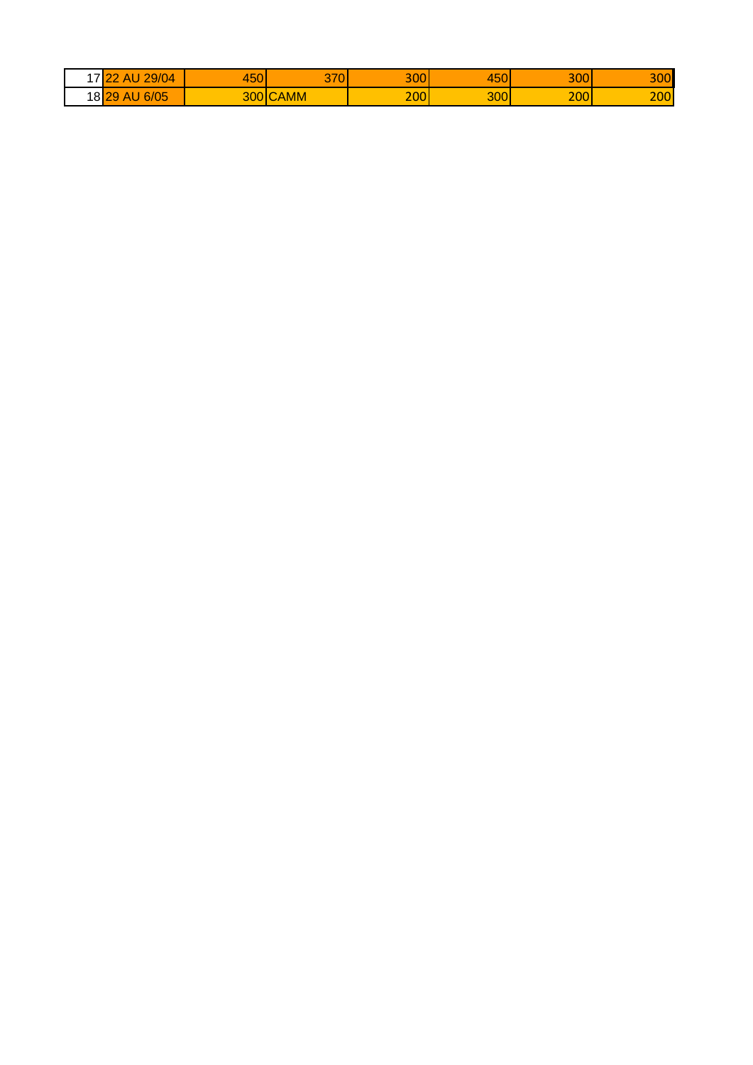| $\overline{\phantom{a}}$ | 29/04<br>$\sim$<br><b>AL</b><br>$\overline{\phantom{a}}$ | 450 | $\sim$ 70<br>07<br>. . | 300 | $1 - \alpha$<br>45 | 300 | 300 |
|--------------------------|----------------------------------------------------------|-----|------------------------|-----|--------------------|-----|-----|
|                          | 6/05<br>18 <mark>29</mark><br><b>AU</b>                  |     | 300 CAMM               | 200 | 300                | 200 | 200 |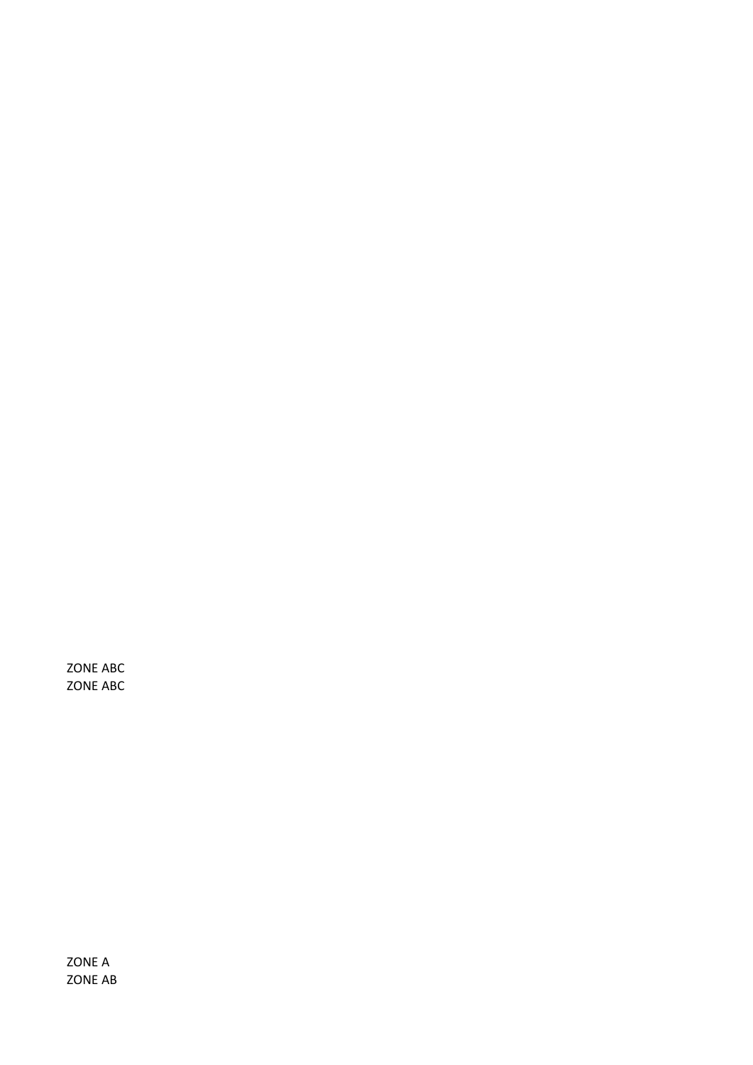ZONE ABC ZONE ABC

ZONE A ZONE AB